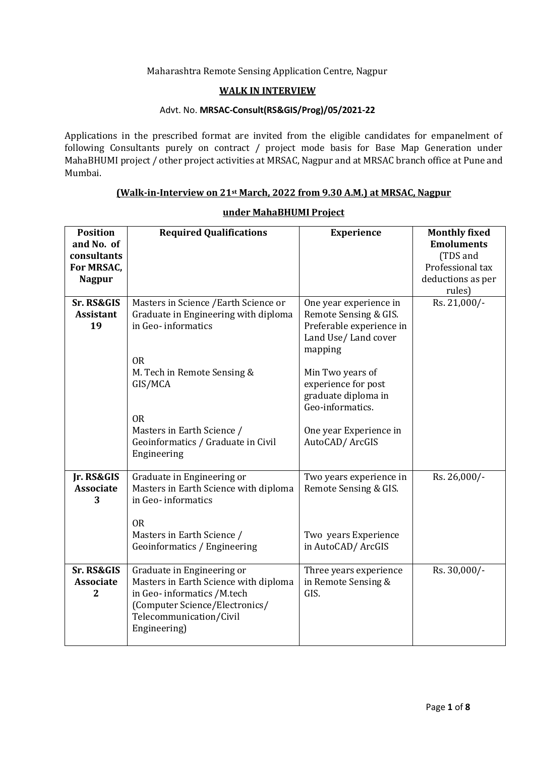# Maharashtra Remote Sensing Application Centre, Nagpur

### **WALK IN INTERVIEW**

### Advt. No. **MRSAC-Consult(RS&GIS/Prog)/05/2021-22**

Applications in the prescribed format are invited from the eligible candidates for empanelment of following Consultants purely on contract / project mode basis for Base Map Generation under MahaBHUMI project / other project activities at MRSAC, Nagpur and at MRSAC branch office at Pune and Mumbai.

### **(Walk-in-Interview on 21st March, 2022 from 9.30 A.M.) at MRSAC, Nagpur**

| <b>Position</b>  | <b>Required Qualifications</b>        | <b>Experience</b>        | <b>Monthly fixed</b> |
|------------------|---------------------------------------|--------------------------|----------------------|
| and No. of       |                                       |                          | <b>Emoluments</b>    |
| consultants      |                                       |                          | (TDS and             |
| For MRSAC,       |                                       |                          | Professional tax     |
| <b>Nagpur</b>    |                                       |                          | deductions as per    |
|                  |                                       |                          | rules)               |
| Sr. RS&GIS       | Masters in Science / Earth Science or | One year experience in   | Rs. 21,000/-         |
| <b>Assistant</b> | Graduate in Engineering with diploma  | Remote Sensing & GIS.    |                      |
| 19               | in Geo-informatics                    | Preferable experience in |                      |
|                  |                                       | Land Use/Land cover      |                      |
|                  |                                       | mapping                  |                      |
|                  | <b>OR</b>                             |                          |                      |
|                  | M. Tech in Remote Sensing &           | Min Two years of         |                      |
|                  | GIS/MCA                               | experience for post      |                      |
|                  |                                       | graduate diploma in      |                      |
|                  |                                       | Geo-informatics.         |                      |
|                  | <b>OR</b>                             |                          |                      |
|                  | Masters in Earth Science /            | One year Experience in   |                      |
|                  | Geoinformatics / Graduate in Civil    | AutoCAD/ ArcGIS          |                      |
|                  | Engineering                           |                          |                      |
|                  |                                       |                          |                      |
| Jr. RS&GIS       | Graduate in Engineering or            | Two years experience in  | Rs. 26,000/-         |
| <b>Associate</b> | Masters in Earth Science with diploma | Remote Sensing & GIS.    |                      |
| 3                | in Geo-informatics                    |                          |                      |
|                  |                                       |                          |                      |
|                  | <b>OR</b>                             |                          |                      |
|                  | Masters in Earth Science /            | Two years Experience     |                      |
|                  | Geoinformatics / Engineering          | in AutoCAD/ ArcGIS       |                      |
| Sr. RS&GIS       | Graduate in Engineering or            | Three years experience   | Rs. 30,000/-         |
| <b>Associate</b> | Masters in Earth Science with diploma | in Remote Sensing &      |                      |
| $\mathbf{2}$     | in Geo-informatics /M.tech            | GIS.                     |                      |
|                  | (Computer Science/Electronics/        |                          |                      |
|                  | Telecommunication/Civil               |                          |                      |
|                  | Engineering)                          |                          |                      |
|                  |                                       |                          |                      |

# **under MahaBHUMI Project**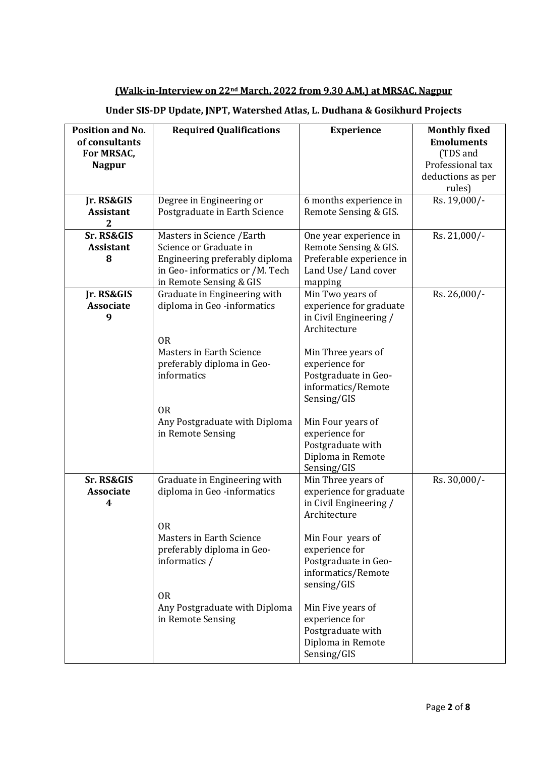# **(Walk-in-Interview on 22nd March, 2022 from 9.30 A.M.) at MRSAC, Nagpur**

# **Under SIS-DP Update, JNPT, Watershed Atlas, L. Dudhana & Gosikhurd Projects**

| <b>Position and No.</b><br>of consultants<br>For MRSAC,<br><b>Nagpur</b> | <b>Required Qualifications</b>                                                                                                                      | <b>Experience</b>                                                                                             | <b>Monthly fixed</b><br><b>Emoluments</b><br>(TDS and<br>Professional tax<br>deductions as per<br>rules) |
|--------------------------------------------------------------------------|-----------------------------------------------------------------------------------------------------------------------------------------------------|---------------------------------------------------------------------------------------------------------------|----------------------------------------------------------------------------------------------------------|
| Jr. RS&GIS<br><b>Assistant</b><br>2                                      | Degree in Engineering or<br>Postgraduate in Earth Science                                                                                           | 6 months experience in<br>Remote Sensing & GIS.                                                               | Rs. 19,000/-                                                                                             |
| Sr. RS&GIS<br><b>Assistant</b><br>8                                      | Masters in Science / Earth<br>Science or Graduate in<br>Engineering preferably diploma<br>in Geo-informatics or /M. Tech<br>in Remote Sensing & GIS | One year experience in<br>Remote Sensing & GIS.<br>Preferable experience in<br>Land Use/Land cover<br>mapping | Rs. 21,000/-                                                                                             |
| Jr. RS&GIS<br><b>Associate</b><br>9                                      | Graduate in Engineering with<br>diploma in Geo-informatics<br><b>OR</b>                                                                             | Min Two years of<br>experience for graduate<br>in Civil Engineering /<br>Architecture                         | Rs. 26,000/-                                                                                             |
|                                                                          | Masters in Earth Science<br>preferably diploma in Geo-<br>informatics<br><b>OR</b>                                                                  | Min Three years of<br>experience for<br>Postgraduate in Geo-<br>informatics/Remote<br>Sensing/GIS             |                                                                                                          |
|                                                                          | Any Postgraduate with Diploma<br>in Remote Sensing                                                                                                  | Min Four years of<br>experience for<br>Postgraduate with<br>Diploma in Remote<br>Sensing/GIS                  |                                                                                                          |
| Sr. RS&GIS<br><b>Associate</b><br>$\overline{\mathbf{4}}$                | Graduate in Engineering with<br>diploma in Geo-informatics<br><b>OR</b>                                                                             | Min Three years of<br>experience for graduate<br>in Civil Engineering /<br>Architecture                       | Rs. 30,000/-                                                                                             |
|                                                                          | <b>Masters in Earth Science</b><br>preferably diploma in Geo-<br>informatics /<br><b>OR</b>                                                         | Min Four years of<br>experience for<br>Postgraduate in Geo-<br>informatics/Remote<br>sensing/GIS              |                                                                                                          |
|                                                                          | Any Postgraduate with Diploma<br>in Remote Sensing                                                                                                  | Min Five years of<br>experience for<br>Postgraduate with<br>Diploma in Remote<br>Sensing/GIS                  |                                                                                                          |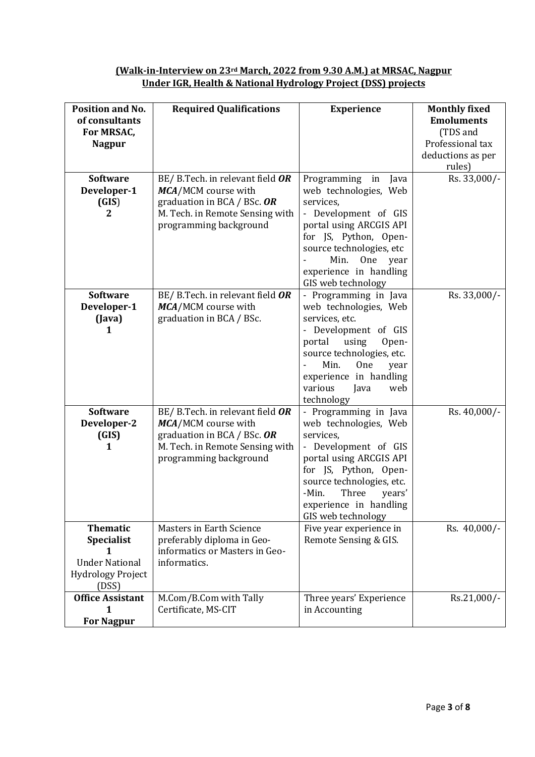# **(Walk-in-Interview on 23rd March, 2022 from 9.30 A.M.) at MRSAC, Nagpur Under IGR, Health & National Hydrology Project (DSS) projects**

| <b>Position and No.</b><br>of consultants<br>For MRSAC,<br><b>Nagpur</b>                           | <b>Required Qualifications</b>                                                                                                                      | <b>Experience</b>                                                                                                                                                                                                                                | <b>Monthly fixed</b><br><b>Emoluments</b><br>(TDS and<br>Professional tax<br>deductions as per<br>rules) |
|----------------------------------------------------------------------------------------------------|-----------------------------------------------------------------------------------------------------------------------------------------------------|--------------------------------------------------------------------------------------------------------------------------------------------------------------------------------------------------------------------------------------------------|----------------------------------------------------------------------------------------------------------|
| <b>Software</b><br>Developer-1<br>(GIS)<br>2                                                       | BE/ B.Tech. in relevant field OR<br>MCA/MCM course with<br>graduation in BCA / BSc. OR<br>M. Tech. in Remote Sensing with<br>programming background | Programming<br>in<br>Java<br>web technologies, Web<br>services,<br>- Development of GIS<br>portal using ARCGIS API<br>for JS, Python, Open-<br>source technologies, etc<br>Min.<br>One<br>year<br>experience in handling<br>GIS web technology   | Rs. 33,000/-                                                                                             |
| <b>Software</b><br>Developer-1<br>$($ Java $)$<br>1                                                | BE/ B.Tech. in relevant field OR<br>MCA/MCM course with<br>graduation in BCA / BSc.                                                                 | - Programming in Java<br>web technologies, Web<br>services, etc.<br>- Development of GIS<br>using<br>portal<br>Open-<br>source technologies, etc.<br>Min.<br>One<br>year<br>experience in handling<br>various<br>Java<br>web<br>technology       | Rs. 33,000/-                                                                                             |
| <b>Software</b><br>Developer-2<br>(GIS)<br>1                                                       | BE/ B.Tech. in relevant field OR<br>MCA/MCM course with<br>graduation in BCA / BSc. OR<br>M. Tech. in Remote Sensing with<br>programming background | - Programming in Java<br>web technologies, Web<br>services,<br>- Development of GIS<br>portal using ARCGIS API<br>for JS, Python, Open-<br>source technologies, etc.<br>-Min.<br>Three<br>years'<br>experience in handling<br>GIS web technology | Rs. 40,000/-                                                                                             |
| <b>Thematic</b><br><b>Specialist</b><br><b>Under National</b><br><b>Hydrology Project</b><br>(DSS) | Masters in Earth Science<br>preferably diploma in Geo-<br>informatics or Masters in Geo-<br>informatics.                                            | Five year experience in<br>Remote Sensing & GIS.                                                                                                                                                                                                 | Rs. 40,000/-                                                                                             |
| <b>Office Assistant</b><br>1<br><b>For Nagpur</b>                                                  | M.Com/B.Com with Tally<br>Certificate, MS-CIT                                                                                                       | Three years' Experience<br>in Accounting                                                                                                                                                                                                         | Rs.21,000/-                                                                                              |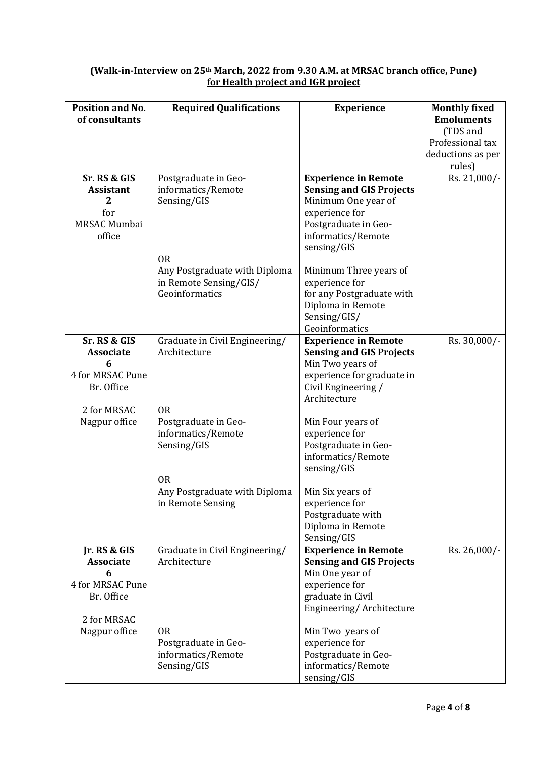| Position and No.                 | <b>Required Qualifications</b> | <b>Experience</b>                             | <b>Monthly fixed</b> |
|----------------------------------|--------------------------------|-----------------------------------------------|----------------------|
| of consultants                   |                                |                                               | <b>Emoluments</b>    |
|                                  |                                |                                               | (TDS and             |
|                                  |                                |                                               | Professional tax     |
|                                  |                                |                                               | deductions as per    |
|                                  |                                |                                               | rules)               |
| Sr. RS & GIS                     | Postgraduate in Geo-           | <b>Experience in Remote</b>                   | Rs. 21,000/-         |
| <b>Assistant</b><br>$\mathbf{2}$ | informatics/Remote             | <b>Sensing and GIS Projects</b>               |                      |
| for                              | Sensing/GIS                    | Minimum One year of<br>experience for         |                      |
| <b>MRSAC Mumbai</b>              |                                | Postgraduate in Geo-                          |                      |
| office                           |                                | informatics/Remote                            |                      |
|                                  |                                | sensing/GIS                                   |                      |
|                                  | 0 <sub>R</sub>                 |                                               |                      |
|                                  | Any Postgraduate with Diploma  | Minimum Three years of                        |                      |
|                                  | in Remote Sensing/GIS/         | experience for                                |                      |
|                                  | Geoinformatics                 | for any Postgraduate with                     |                      |
|                                  |                                | Diploma in Remote<br>Sensing/GIS/             |                      |
|                                  |                                | Geoinformatics                                |                      |
| Sr. RS & GIS                     | Graduate in Civil Engineering/ | <b>Experience in Remote</b>                   | Rs. 30,000/-         |
| <b>Associate</b>                 | Architecture                   | <b>Sensing and GIS Projects</b>               |                      |
| 6                                |                                | Min Two years of                              |                      |
| 4 for MRSAC Pune                 |                                | experience for graduate in                    |                      |
| Br. Office                       |                                | Civil Engineering /                           |                      |
| 2 for MRSAC                      | <b>OR</b>                      | Architecture                                  |                      |
| Nagpur office                    | Postgraduate in Geo-           | Min Four years of                             |                      |
|                                  | informatics/Remote             | experience for                                |                      |
|                                  | Sensing/GIS                    | Postgraduate in Geo-                          |                      |
|                                  |                                | informatics/Remote                            |                      |
|                                  |                                | sensing/GIS                                   |                      |
|                                  | 0 <sub>R</sub>                 |                                               |                      |
|                                  | Any Postgraduate with Diploma  | Min Six years of                              |                      |
|                                  | in Remote Sensing              | experience for<br>Postgraduate with           |                      |
|                                  |                                | Diploma in Remote                             |                      |
|                                  |                                | Sensing/GIS                                   |                      |
| Jr. RS & GIS                     | Graduate in Civil Engineering/ | <b>Experience in Remote</b>                   | Rs. 26,000/-         |
| <b>Associate</b>                 | Architecture                   | <b>Sensing and GIS Projects</b>               |                      |
| 6                                |                                | Min One year of                               |                      |
| 4 for MRSAC Pune<br>Br. Office   |                                | experience for                                |                      |
|                                  |                                | graduate in Civil<br>Engineering/Architecture |                      |
| 2 for MRSAC                      |                                |                                               |                      |
| Nagpur office                    | 0 <sub>R</sub>                 | Min Two years of                              |                      |
|                                  | Postgraduate in Geo-           | experience for                                |                      |
|                                  | informatics/Remote             | Postgraduate in Geo-                          |                      |
|                                  | Sensing/GIS                    | informatics/Remote                            |                      |
|                                  |                                | sensing/GIS                                   |                      |

# **(Walk-in-Interview on 25th March, 2022 from 9.30 A.M. at MRSAC branch office, Pune) for Health project and IGR project**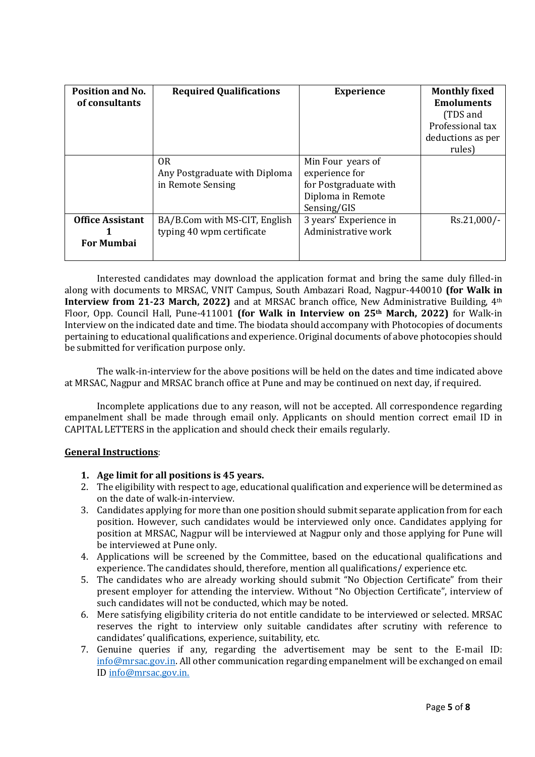| <b>Position and No.</b><br>of consultants    | <b>Required Qualifications</b>                                       | <b>Experience</b>                                                                                | <b>Monthly fixed</b><br><b>Emoluments</b><br>(TDS and<br>Professional tax<br>deductions as per<br>rules) |
|----------------------------------------------|----------------------------------------------------------------------|--------------------------------------------------------------------------------------------------|----------------------------------------------------------------------------------------------------------|
|                                              | 0 <sub>R</sub><br>Any Postgraduate with Diploma<br>in Remote Sensing | Min Four years of<br>experience for<br>for Postgraduate with<br>Diploma in Remote<br>Sensing/GIS |                                                                                                          |
| <b>Office Assistant</b><br><b>For Mumbai</b> | BA/B.Com with MS-CIT, English<br>typing 40 wpm certificate           | 3 years' Experience in<br>Administrative work                                                    | $Rs.21,000/-$                                                                                            |

Interested candidates may download the application format and bring the same duly filled-in along with documents to MRSAC, VNIT Campus, South Ambazari Road, Nagpur-440010 **(for Walk in Interview from 21-23 March, 2022)** and at MRSAC branch office, New Administrative Building, 4th Floor, Opp. Council Hall, Pune-411001 **(for Walk in Interview on 25th March, 2022)** for Walk-in Interview on the indicated date and time. The biodata should accompany with Photocopies of documents pertaining to educational qualifications and experience. Original documents of above photocopies should be submitted for verification purpose only.

The walk-in-interview for the above positions will be held on the dates and time indicated above at MRSAC, Nagpur and MRSAC branch office at Pune and may be continued on next day, if required.

Incomplete applications due to any reason, will not be accepted. All correspondence regarding empanelment shall be made through email only. Applicants on should mention correct email ID in CAPITAL LETTERS in the application and should check their emails regularly.

### **General Instructions**:

# **1. Age limit for all positions is 45 years.**

- 2. The eligibility with respect to age, educational qualification and experience will be determined as on the date of walk-in-interview.
- 3. Candidates applying for more than one position should submit separate application from for each position. However, such candidates would be interviewed only once. Candidates applying for position at MRSAC, Nagpur will be interviewed at Nagpur only and those applying for Pune will be interviewed at Pune only.
- 4. Applications will be screened by the Committee, based on the educational qualifications and experience. The candidates should, therefore, mention all qualifications/ experience etc.
- 5. The candidates who are already working should submit "No Objection Certificate" from their present employer for attending the interview. Without "No Objection Certificate", interview of such candidates will not be conducted, which may be noted.
- 6. Mere satisfying eligibility criteria do not entitle candidate to be interviewed or selected. MRSAC reserves the right to interview only suitable candidates after scrutiny with reference to candidates' qualifications, experience, suitability, etc.
- 7. Genuine queries if any, regarding the advertisement may be sent to the E-mail ID: [info@mrsac.gov.in.](mailto:info@mrsac.gov.in) All other communication regarding empanelment will be exchanged on email ID [info@mrsac.gov.in.](mailto:info@mrsac.gov.in)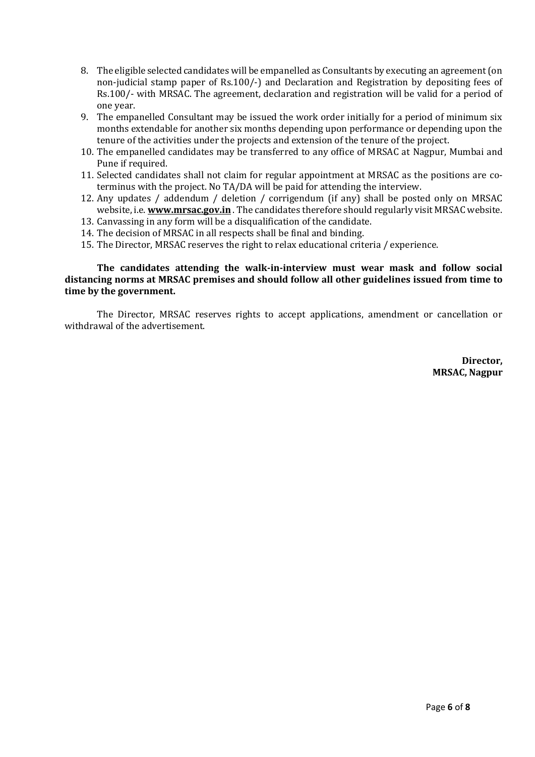- 8. The eligible selected candidates will be empanelled as Consultants by executing an agreement (on non-judicial stamp paper of Rs.100/-) and Declaration and Registration by depositing fees of Rs.100/- with MRSAC. The agreement, declaration and registration will be valid for a period of one year.
- 9. The empanelled Consultant may be issued the work order initially for a period of minimum six months extendable for another six months depending upon performance or depending upon the tenure of the activities under the projects and extension of the tenure of the project.
- 10. The empanelled candidates may be transferred to any office of MRSAC at Nagpur, Mumbai and Pune if required.
- 11. Selected candidates shall not claim for regular appointment at MRSAC as the positions are coterminus with the project. No TA/DA will be paid for attending the interview.
- 12. Any updates / addendum / deletion / corrigendum (if any) shall be posted only on MRSAC website, i.e. **[www.mrsac.gov.in](http://www.mrsac.gov.in/)** . The candidates therefore should regularly visit MRSAC website.
- 13. Canvassing in any form will be a disqualification of the candidate.
- 14. The decision of MRSAC in all respects shall be final and binding.
- 15. The Director, MRSAC reserves the right to relax educational criteria / experience.

# **The candidates attending the walk-in-interview must wear mask and follow social distancing norms at MRSAC premises and should follow all other guidelines issued from time to time by the government.**

The Director, MRSAC reserves rights to accept applications, amendment or cancellation or withdrawal of the advertisement.

> **Director, MRSAC, Nagpur**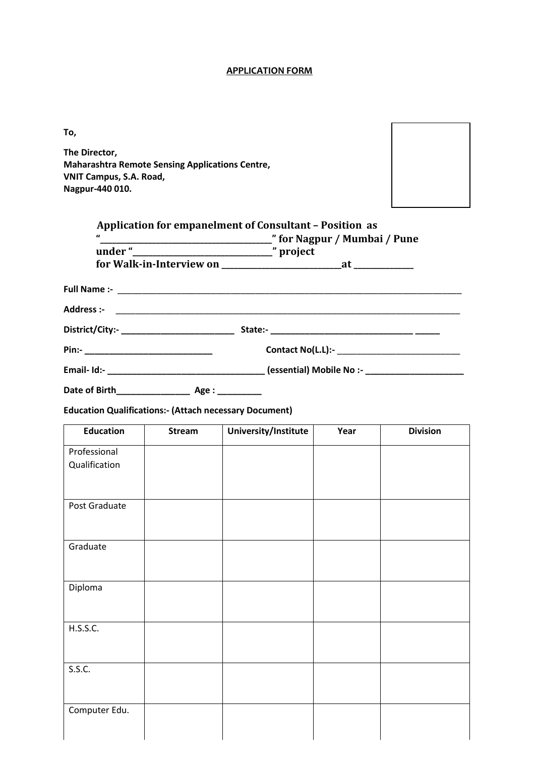# **APPLICATION FORM**

**To,**

**The Director, Maharashtra Remote Sensing Applications Centre, VNIT Campus, S.A. Road, Nagpur-440 010.**

| <b>Application for empanelment of Consultant - Position as</b> |        |                      |      |                 |  |
|----------------------------------------------------------------|--------|----------------------|------|-----------------|--|
|                                                                |        |                      |      |                 |  |
|                                                                |        |                      |      |                 |  |
|                                                                |        |                      |      |                 |  |
|                                                                |        |                      |      |                 |  |
|                                                                |        |                      |      |                 |  |
|                                                                |        |                      |      |                 |  |
|                                                                |        |                      |      |                 |  |
|                                                                |        |                      |      |                 |  |
| <b>Education Qualifications:- (Attach necessary Document)</b>  |        |                      |      |                 |  |
| <b>Education</b>                                               | Stream | University/Institute | Year | <b>Division</b> |  |
| Professional                                                   |        |                      |      |                 |  |
| Qualification                                                  |        |                      |      |                 |  |
|                                                                |        |                      |      |                 |  |
| Post Graduate                                                  |        |                      |      |                 |  |
|                                                                |        |                      |      |                 |  |
| Graduate                                                       |        |                      |      |                 |  |
|                                                                |        |                      |      |                 |  |
| Diploma                                                        |        |                      |      |                 |  |
|                                                                |        |                      |      |                 |  |
| H.S.S.C.                                                       |        |                      |      |                 |  |
|                                                                |        |                      |      |                 |  |
| S.S.C.                                                         |        |                      |      |                 |  |
|                                                                |        |                      |      |                 |  |
| Computer Edu.                                                  |        |                      |      |                 |  |
|                                                                |        |                      |      |                 |  |
|                                                                |        |                      |      |                 |  |